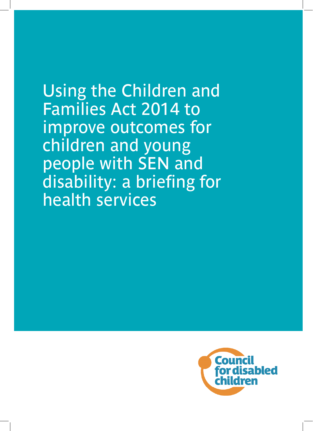Using the Children and Families Act 2014 to improve outcomes for children and young people with SEN and disability: a briefing for health services

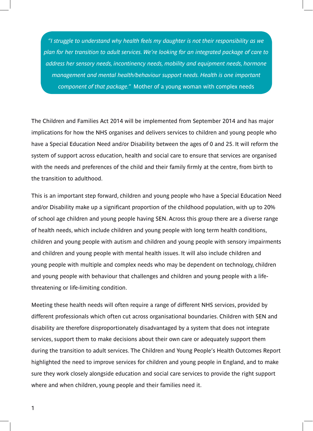*"I struggle to understand why health feels my daughter is not their responsibility as we plan for her transition to adult services. We're looking for an integrated package of care to address her sensory needs, incontinency needs, mobility and equipment needs, hormone management and mental health/behaviour support needs. Health is one important component of that package."* Mother of a young woman with complex needs

The Children and Families Act 2014 will be implemented from September 2014 and has major implications for how the NHS organises and delivers services to children and young people who have a Special Education Need and/or Disability between the ages of 0 and 25. It will reform the system of support across education, health and social care to ensure that services are organised with the needs and preferences of the child and their family firmly at the centre, from birth to the transition to adulthood.

This is an important step forward, children and young people who have a Special Education Need and/or Disability make up a significant proportion of the childhood population, with up to 20% of school age children and young people having SEN. Across this group there are a diverse range of health needs, which include children and young people with long term health conditions, children and young people with autism and children and young people with sensory impairments and children and young people with mental health issues. It will also include children and young people with multiple and complex needs who may be dependent on technology, children and young people with behaviour that challenges and children and young people with a lifethreatening or life-limiting condition.

Meeting these health needs will often require a range of different NHS services, provided by different professionals which often cut across organisational boundaries. Children with SEN and disability are therefore disproportionately disadvantaged by a system that does not integrate services, support them to make decisions about their own care or adequately support them during the transition to adult services. The Children and Young People's Health Outcomes Report highlighted the need to improve services for children and young people in England, and to make sure they work closely alongside education and social care services to provide the right support where and when children, young people and their families need it.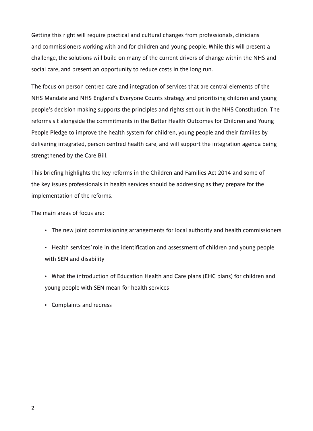Getting this right will require practical and cultural changes from professionals, clinicians and commissioners working with and for children and young people. While this will present a challenge, the solutions will build on many of the current drivers of change within the NHS and social care, and present an opportunity to reduce costs in the long run.

The focus on person centred care and integration of services that are central elements of the NHS Mandate and NHS England's Everyone Counts strategy and prioritising children and young people's decision making supports the principles and rights set out in the NHS Constitution. The reforms sit alongside the commitments in the Better Health Outcomes for Children and Young People Pledge to improve the health system for children, young people and their families by delivering integrated, person centred health care, and will support the integration agenda being strengthened by the Care Bill.

This briefing highlights the key reforms in the Children and Families Act 2014 and some of the key issues professionals in health services should be addressing as they prepare for the implementation of the reforms.

The main areas of focus are:

- The new joint commissioning arrangements for local authority and health commissioners
- Health services' role in the identification and assessment of children and young people with SEN and disability
- What the introduction of Education Health and Care plans (EHC plans) for children and young people with SEN mean for health services
- Complaints and redress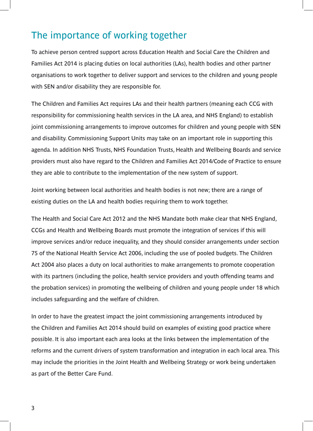### The importance of working together

To achieve person centred support across Education Health and Social Care the Children and Families Act 2014 is placing duties on local authorities (LAs), health bodies and other partner organisations to work together to deliver support and services to the children and young people with SEN and/or disability they are responsible for.

The Children and Families Act requires LAs and their health partners (meaning each CCG with responsibility for commissioning health services in the LA area, and NHS England) to establish joint commissioning arrangements to improve outcomes for children and young people with SEN and disability. Commissioning Support Units may take on an important role in supporting this agenda. In addition NHS Trusts, NHS Foundation Trusts, Health and Wellbeing Boards and service providers must also have regard to the Children and Families Act 2014/Code of Practice to ensure they are able to contribute to the implementation of the new system of support.

Joint working between local authorities and health bodies is not new; there are a range of existing duties on the LA and health bodies requiring them to work together.

The Health and Social Care Act 2012 and the NHS Mandate both make clear that NHS England, CCGs and Health and Wellbeing Boards must promote the integration of services if this will improve services and/or reduce inequality, and they should consider arrangements under section 75 of the National Health Service Act 2006, including the use of pooled budgets. The Children Act 2004 also places a duty on local authorities to make arrangements to promote cooperation with its partners (including the police, health service providers and youth offending teams and the probation services) in promoting the wellbeing of children and young people under 18 which includes safeguarding and the welfare of children.

In order to have the greatest impact the joint commissioning arrangements introduced by the Children and Families Act 2014 should build on examples of existing good practice where possible. It is also important each area looks at the links between the implementation of the reforms and the current drivers of system transformation and integration in each local area. This may include the priorities in the Joint Health and Wellbeing Strategy or work being undertaken as part of the Better Care Fund.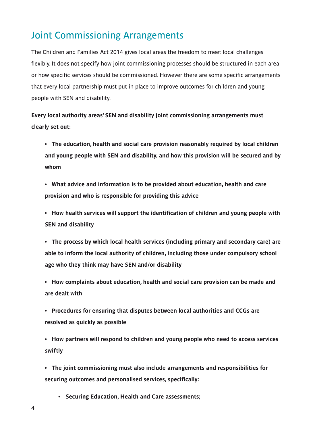### Joint Commissioning Arrangements

The Children and Families Act 2014 gives local areas the freedom to meet local challenges flexibly. It does not specify how joint commissioning processes should be structured in each area or how specific services should be commissioned. However there are some specific arrangements that every local partnership must put in place to improve outcomes for children and young people with SEN and disability.

**Every local authority areas' SEN and disability joint commissioning arrangements must clearly set out:** 

- **• The education, health and social care provision reasonably required by local children and young people with SEN and disability, and how this provision will be secured and by whom**
- **• What advice and information is to be provided about education, health and care provision and who is responsible for providing this advice**
- **• How health services will support the identification of children and young people with SEN and disability**
- **• The process by which local health services (including primary and secondary care) are able to inform the local authority of children, including those under compulsory school age who they think may have SEN and/or disability**
- **• How complaints about education, health and social care provision can be made and are dealt with**
- **• Procedures for ensuring that disputes between local authorities and CCGs are resolved as quickly as possible**
- **• How partners will respond to children and young people who need to access services swiftly**
- **• The joint commissioning must also include arrangements and responsibilities for securing outcomes and personalised services, specifically:** 
	- **• Securing Education, Health and Care assessments;**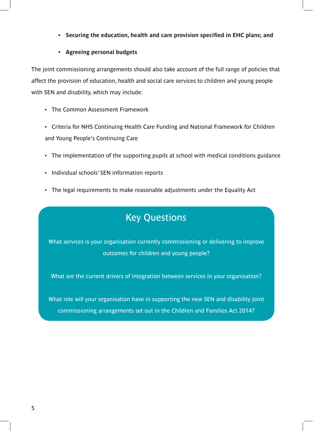**• Securing the education, health and care provision specified in EHC plans; and** 

#### **• Agreeing personal budgets**

The joint commissioning arrangements should also take account of the full range of policies that affect the provision of education, health and social care services to children and young people with SEN and disability, which may include:

- The Common Assessment Framework
- Criteria for NHS Continuing Health Care Funding and National Framework for Children and Young People's Continuing Care
- The implementation of the supporting pupils at school with medical conditions guidance
- Individual schools' SEN information reports
- The legal requirements to make reasonable adjustments under the Equality Act

### Key Questions

What services is your organisation currently commissioning or delivering to improve outcomes for children and young people?

What are the current drivers of integration between services in your organisation?

What role will your organisation have in supporting the new SEN and disability joint commissioning arrangements set out in the Children and Families Act 2014?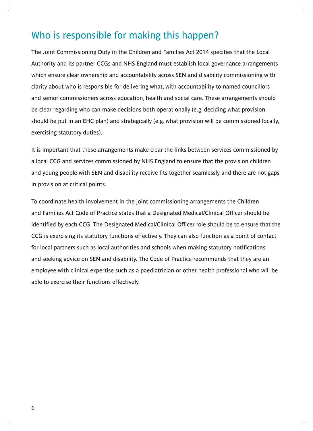### Who is responsible for making this happen?

The Joint Commissioning Duty in the Children and Families Act 2014 specifies that the Local Authority and its partner CCGs and NHS England must establish local governance arrangements which ensure clear ownership and accountability across SEN and disability commissioning with clarity about who is responsible for delivering what, with accountability to named councillors and senior commissioners across education, health and social care. These arrangements should be clear regarding who can make decisions both operationally (e.g. deciding what provision should be put in an EHC plan) and strategically (e.g. what provision will be commissioned locally, exercising statutory duties).

It is important that these arrangements make clear the links between services commissioned by a local CCG and services commissioned by NHS England to ensure that the provision children and young people with SEN and disability receive fits together seamlessly and there are not gaps in provision at critical points.

To coordinate health involvement in the joint commissioning arrangements the Children and Families Act Code of Practice states that a Designated Medical/Clinical Officer should be identified by each CCG. The Designated Medical/Clinical Officer role should be to ensure that the CCG is exercising its statutory functions effectively. They can also function as a point of contact for local partners such as local authorities and schools when making statutory notifications and seeking advice on SEN and disability. The Code of Practice recommends that they are an employee with clinical expertise such as a paediatrician or other health professional who will be able to exercise their functions effectively.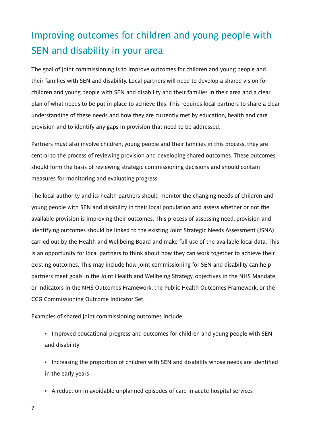# Improving outcomes for children and young people with SEN and disability in your area

The goal of joint commissioning is to improve outcomes for children and young people and their families with SEN and disability. Local partners will need to develop a shared vision for children and young people with SEN and disability and their families in their area and a clear plan of what needs to be put in place to achieve this. This requires local partners to share a clear understanding of these needs and how they are currently met by education, health and care provision and to identify any gaps in provision that need to be addressed.

Partners must also involve children, young people and their families in this process, they are central to the process of reviewing provision and developing shared outcomes. These outcomes should form the basis of reviewing strategic commissioning decisions and should contain measures for monitoring and evaluating progress.

The local authority and its health partners should monitor the changing needs of children and young people with SEN and disability in their local population and assess whether or not the available provision is improving their outcomes. This process of assessing need, provision and identifying outcomes should be linked to the existing Joint Strategic Needs Assessment (JSNA) carried out by the Health and Wellbeing Board and make full use of the available local data. This is an opportunity for local partners to think about how they can work together to achieve their existing outcomes. This may include how joint commissioning for SEN and disability can help partners meet goals in the Joint Health and Wellbeing Strategy, objectives in the NHS Mandate, or indicators in the NHS Outcomes Framework, the Public Health Outcomes Framework, or the CCG Commissioning Outcome Indicator Set.

Examples of shared joint commissioning outcomes include:

• Improved educational progress and outcomes for children and young people with SEN and disability

• Increasing the proportion of children with SEN and disability whose needs are identified in the early years

- A reduction in avoidable unplanned episodes of care in acute hospital services
- 7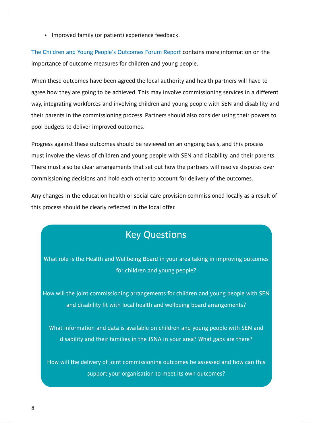• Improved family (or patient) experience feedback.

[The Children and Young People's Outcomes Forum Report](https://www.gov.uk/government/uploads/system/uploads/attachment_data/file/216852/CYP-report.pdf) contains more information on the importance of outcome measures for children and young people.

When these outcomes have been agreed the local authority and health partners will have to agree how they are going to be achieved. This may involve commissioning services in a different way, integrating workforces and involving children and young people with SEN and disability and their parents in the commissioning process. Partners should also consider using their powers to pool budgets to deliver improved outcomes.

Progress against these outcomes should be reviewed on an ongoing basis, and this process must involve the views of children and young people with SEN and disability, and their parents. There must also be clear arrangements that set out how the partners will resolve disputes over commissioning decisions and hold each other to account for delivery of the outcomes.

Any changes in the education health or social care provision commissioned locally as a result of this process should be clearly reflected in the local offer.

### Key Questions

What role is the Health and Wellbeing Board in your area taking in improving outcomes for children and young people?

How will the joint commissioning arrangements for children and young people with SEN and disability fit with local health and wellbeing board arrangements?

What information and data is available on children and young people with SEN and disability and their families in the JSNA in your area? What gaps are there?

How will the delivery of joint commissioning outcomes be assessed and how can this support your organisation to meet its own outcomes?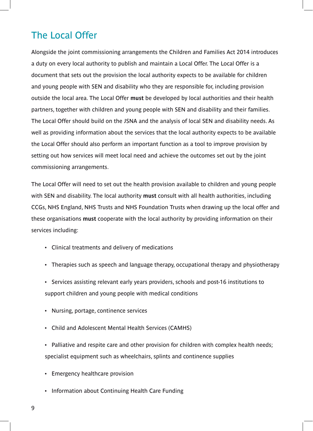### The Local Offer

Alongside the joint commissioning arrangements the Children and Families Act 2014 introduces a duty on every local authority to publish and maintain a Local Offer. The Local Offer is a document that sets out the provision the local authority expects to be available for children and young people with SEN and disability who they are responsible for, including provision outside the local area. The Local Offer **must** be developed by local authorities and their health partners, together with children and young people with SEN and disability and their families. The Local Offer should build on the JSNA and the analysis of local SEN and disability needs. As well as providing information about the services that the local authority expects to be available the Local Offer should also perform an important function as a tool to improve provision by setting out how services will meet local need and achieve the outcomes set out by the joint commissioning arrangements.

The Local Offer will need to set out the health provision available to children and young people with SEN and disability. The local authority **must** consult with all health authorities, including CCGs, NHS England, NHS Trusts and NHS Foundation Trusts when drawing up the local offer and these organisations **must** cooperate with the local authority by providing information on their services including:

- Clinical treatments and delivery of medications
- Therapies such as speech and language therapy, occupational therapy and physiotherapy
- Services assisting relevant early years providers, schools and post-16 institutions to support children and young people with medical conditions
- Nursing, portage, continence services
- Child and Adolescent Mental Health Services (CAMHS)
- Palliative and respite care and other provision for children with complex health needs; specialist equipment such as wheelchairs, splints and continence supplies
- Emergency healthcare provision
- Information about Continuing Health Care Funding
- 9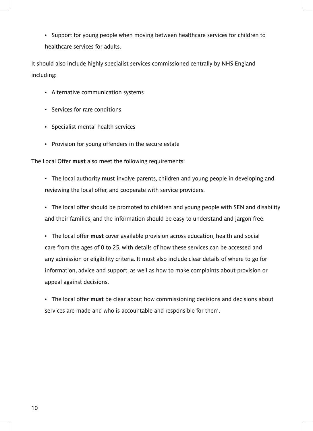• Support for young people when moving between healthcare services for children to healthcare services for adults.

It should also include highly specialist services commissioned centrally by NHS England including:

- Alternative communication systems
- Services for rare conditions
- Specialist mental health services
- Provision for young offenders in the secure estate

The Local Offer **must** also meet the following requirements:

• The local authority **must** involve parents, children and young people in developing and reviewing the local offer, and cooperate with service providers.

• The local offer should be promoted to children and young people with SEN and disability and their families, and the information should be easy to understand and jargon free.

• The local offer **must** cover available provision across education, health and social care from the ages of 0 to 25, with details of how these services can be accessed and any admission or eligibility criteria. It must also include clear details of where to go for information, advice and support, as well as how to make complaints about provision or appeal against decisions.

• The local offer **must** be clear about how commissioning decisions and decisions about services are made and who is accountable and responsible for them.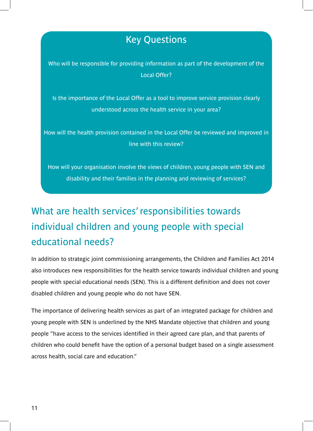### Key Questions

Who will be responsible for providing information as part of the development of the Local Offer?

Is the importance of the Local Offer as a tool to improve service provision clearly understood across the health service in your area?

How will the health provision contained in the Local Offer be reviewed and improved in line with this review?

How will your organisation involve the views of children, young people with SEN and disability and their families in the planning and reviewing of services?

# What are health services' responsibilities towards individual children and young people with special educational needs?

In addition to strategic joint commissioning arrangements, the Children and Families Act 2014 also introduces new responsibilities for the health service towards individual children and young people with special educational needs (SEN). This is a different definition and does not cover disabled children and young people who do not have SEN.

The importance of delivering health services as part of an integrated package for children and young people with SEN is underlined by the NHS Mandate objective that children and young people "have access to the services identified in their agreed care plan, and that parents of children who could benefit have the option of a personal budget based on a single assessment across health, social care and education."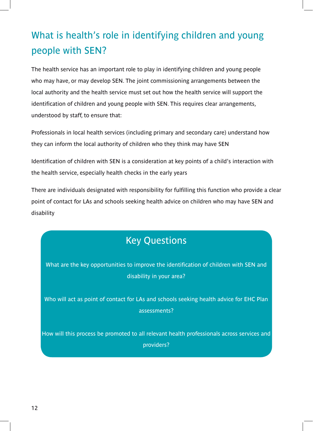# What is health's role in identifying children and young people with SEN?

The health service has an important role to play in identifying children and young people who may have, or may develop SEN. The joint commissioning arrangements between the local authority and the health service must set out how the health service will support the identification of children and young people with SEN. This requires clear arrangements, understood by staff, to ensure that:

Professionals in local health services (including primary and secondary care) understand how they can inform the local authority of children who they think may have SEN

Identification of children with SEN is a consideration at key points of a child's interaction with the health service, especially health checks in the early years

There are individuals designated with responsibility for fulfilling this function who provide a clear point of contact for LAs and schools seeking health advice on children who may have SEN and disability

### Key Questions

What are the key opportunities to improve the identification of children with SEN and disability in your area?

Who will act as point of contact for LAs and schools seeking health advice for EHC Plan assessments?

How will this process be promoted to all relevant health professionals across services and providers?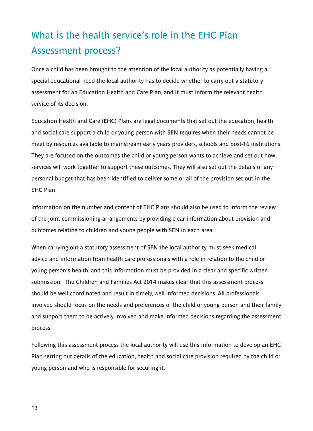## What is the health service's role in the EHC Plan Assessment process?

Once a child has been brought to the attention of the local authority as potentially having a special educational need the local authority has to decide whether to carry out a statutory assessment for an Education Health and Care Plan, and it must inform the relevant health service of its decision.

Education Health and Care (EHC) Plans are legal documents that set out the education, health and social care support a child or young person with SEN requires when their needs cannot be meet by resources available to mainstream early years providers, schools and post-16 institutions. They are focused on the outcomes the child or young person wants to achieve and set out how services will work together to support these outcomes. They will also set out the details of any personal budget that has been identified to deliver some or all of the provision set out in the EHC Plan.

Information on the number and content of EHC Plans should also be used to inform the review of the joint commissioning arrangements by providing clear information about provision and outcomes relating to children and young people with SEN in each area.

When carrying out a statutory assessment of SEN the local authority must seek medical advice and information from health care professionals with a role in relation to the child or young person's health, and this information must be provided in a clear and specific written submission. The Children and Families Act 2014 makes clear that this assessment process should be well coordinated and result in timely, well informed decisions. All professionals involved should focus on the needs and preferences of the child or young person and their family and support them to be actively involved and make informed decisions regarding the assessment process.

Following this assessment process the local authority will use this information to develop an EHC Plan setting out details of the education, health and social care provision required by the child or young person and who is responsible for securing it.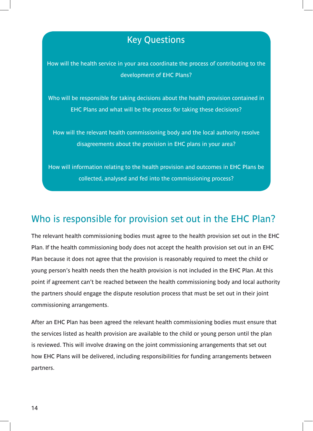### Key Questions

How will the health service in your area coordinate the process of contributing to the development of EHC Plans?

Who will be responsible for taking decisions about the health provision contained in EHC Plans and what will be the process for taking these decisions?

How will the relevant health commissioning body and the local authority resolve disagreements about the provision in EHC plans in your area?

How will information relating to the health provision and outcomes in EHC Plans be collected, analysed and fed into the commissioning process?

### Who is responsible for provision set out in the EHC Plan?

The relevant health commissioning bodies must agree to the health provision set out in the EHC Plan. If the health commissioning body does not accept the health provision set out in an EHC Plan because it does not agree that the provision is reasonably required to meet the child or young person's health needs then the health provision is not included in the EHC Plan. At this point if agreement can't be reached between the health commissioning body and local authority the partners should engage the dispute resolution process that must be set out in their joint commissioning arrangements.

After an EHC Plan has been agreed the relevant health commissioning bodies must ensure that the services listed as health provision are available to the child or young person until the plan is reviewed. This will involve drawing on the joint commissioning arrangements that set out how EHC Plans will be delivered, including responsibilities for funding arrangements between partners.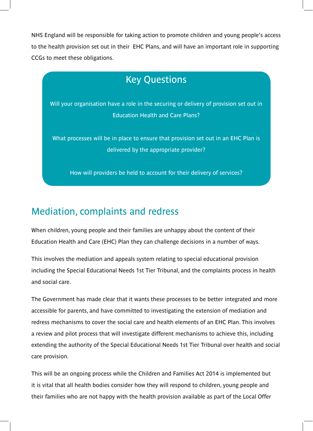NHS England will be responsible for taking action to promote children and young people's access to the health provision set out in their EHC Plans, and will have an important role in supporting CCGs to meet these obligations.

### Key Questions

Will your organisation have a role in the securing or delivery of provision set out in Education Health and Care Plans?

What processes will be in place to ensure that provision set out in an EHC Plan is delivered by the appropriate provider?

How will providers be held to account for their delivery of services?

#### Mediation, complaints and redress

When children, young people and their families are unhappy about the content of their Education Health and Care (EHC) Plan they can challenge decisions in a number of ways.

This involves the mediation and appeals system relating to special educational provision including the Special Educational Needs 1st Tier Tribunal, and the complaints process in health and social care.

The Government has made clear that it wants these processes to be better integrated and more accessible for parents, and have committed to investigating the extension of mediation and redress mechanisms to cover the social care and health elements of an EHC Plan. This involves a review and pilot process that will investigate different mechanisms to achieve this, including extending the authority of the Special Educational Needs 1st Tier Tribunal over health and social care provision.

This will be an ongoing process while the Children and Families Act 2014 is implemented but it is vital that all health bodies consider how they will respond to children, young people and their families who are not happy with the health provision available as part of the Local Offer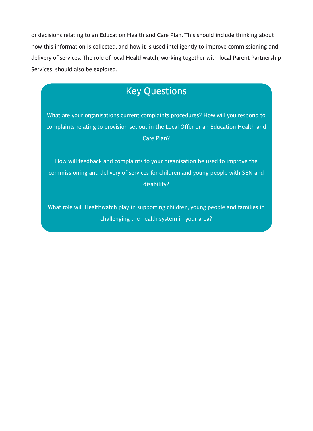or decisions relating to an Education Health and Care Plan. This should include thinking about how this information is collected, and how it is used intelligently to improve commissioning and delivery of services. The role of local Healthwatch, working together with local Parent Partnership Services should also be explored.

### Key Questions

What are your organisations current complaints procedures? How will you respond to complaints relating to provision set out in the Local Offer or an Education Health and Care Plan?

How will feedback and complaints to your organisation be used to improve the commissioning and delivery of services for children and young people with SEN and disability?

What role will Healthwatch play in supporting children, young people and families in challenging the health system in your area?